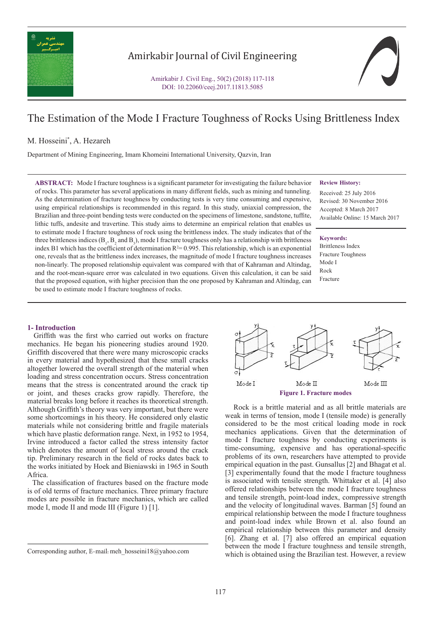

# Amirkabir Journal of Civil Engineering

Amirkabir J. Civil Eng., 50(2) (2018) 117-118 DOI: 10.22060/ceej.2017.11813.5085

# The Estimation of the Mode I Fracture Toughness of Rocks Using Brittleness Index

# M. Hosseini\* , A. Hezareh

Department of Mining Engineering, Imam Khomeini International University, Qazvin, Iran

**ABSTRACT:** Mode I fracture toughness is a significant parameter for investigating the failure behavior of rocks. This parameter has several applications in many different fields, such as mining and tunneling. As the determination of fracture toughness by conducting tests is very time consuming and expensive, using empirical relationships is recommended in this regard. In this study, uniaxial compression, the Brazilian and three-point bending tests were conducted on the specimens of limestone, sandstone, tuffite, lithic tuffs, andesite and travertine. This study aims to determine an empirical relation that enables us to estimate mode I fracture toughness of rock using the brittleness index. The study indicates that of the three brittleness indices ( $B_1$ ,  $B_2$  and  $B_3$ ), mode I fracture toughness only has a relationship with brittleness index B1 which has the coefficient of determination  $R^2 = 0.995$ . This relationship, which is an exponential one, reveals that as the brittleness index increases, the magnitude of mode I fracture toughness increases non-linearly. The proposed relationship equivalent was compared with that of Kahraman and Altindag, and the root-mean-square error was calculated in two equations. Given this calculation, it can be said that the proposed equation, with higher precision than the one proposed by Kahraman and Altindag, can be used to estimate mode I fracture toughness of rocks.

#### **Review History:**

Received: 25 July 2016 Revised: 30 November 2016 Accepted: 8 March 2017 Available Online: 15 March 2017

### **Keywords:** Brittleness Index Fracture Toughness Mode I Rock

Fracture



**Figure 1. Fracture modes**

 Rock is a brittle material and as all brittle materials are weak in terms of tension, mode I (tensile mode) is generally considered to be the most critical loading mode in rock mechanics applications. Given that the determination of mode I fracture toughness by conducting experiments is time-consuming, expensive and has operational-specific problems of its own, researchers have attempted to provide empirical equation in the past. Gunsallus [2] and Bhagat et al. [3] experimentally found that the mode I fracture toughness is associated with tensile strength. Whittaker et al. [4] also offered relationships between the mode I fracture toughness and tensile strength, point-load index, compressive strength and the velocity of longitudinal waves. Barman [5] found an empirical relationship between the mode I fracture toughness and point-load index while Brown et al. also found an empirical relationship between this parameter and density [6]. Zhang et al. [7] also offered an empirical equation between the mode I fracture toughness and tensile strength, Corresponding author, E-mail: meh\_hosseini18@yahoo.com which is obtained using the Brazilian test. However, a review

#### **1- Introduction**

 Griffith was the first who carried out works on fracture mechanics. He began his pioneering studies around 1920. Griffith discovered that there were many microscopic cracks in every material and hypothesized that these small cracks altogether lowered the overall strength of the material when loading and stress concentration occurs. Stress concentration means that the stress is concentrated around the crack tip or joint, and theses cracks grow rapidly. Therefore, the material breaks long before it reaches its theoretical strength. Although Griffith's theory was very important, but there were some shortcomings in his theory. He considered only elastic materials while not considering brittle and fragile materials which have plastic deformation range. Next, in 1952 to 1954, Irvine introduced a factor called the stress intensity factor which denotes the amount of local stress around the crack tip. Preliminary research in the field of rocks dates back to the works initiated by Hoek and Bieniawski in 1965 in South Africa.

 The classification of fractures based on the fracture mode is of old terms of fracture mechanics. Three primary fracture modes are possible in fracture mechanics, which are called mode I, mode II and mode III (Figure 1) [1].